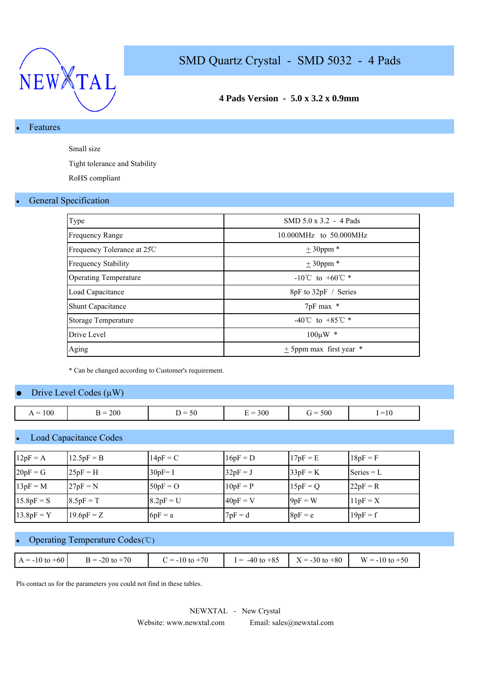

## **4 Pads Version - 5.0 x 3.2 x 0.9mm**

## Features

Small size

Tight tolerance and Stability

RoHS compliant

#### **General Specification**

| Type                         | $SMD 5.0 \times 3.2 - 4$ Pads                  |
|------------------------------|------------------------------------------------|
| <b>Frequency Range</b>       | 10.000MHz to 50.000MHz                         |
| Frequency Tolerance at 25C   | $± 30$ ppm *                                   |
| <b>Frequency Stability</b>   | $± 30$ ppm *                                   |
| <b>Operating Temperature</b> | $-10^{\circ}$ C to $+60^{\circ}$ *             |
| Load Capacitance             | 8pF to 32pF / Series                           |
| <b>Shunt Capacitance</b>     | 7pF max *                                      |
| Storage Temperature          | $-40^{\circ}$ C to $+85^{\circ}$ $\textdegree$ |
| Drive Level                  | $100 \mu W$ *                                  |
| Aging                        | $\pm$ 5ppm max first year $*$                  |

\* Can be changed according to Customer's requirement.

#### Drive Level Codes  $(\mu W)$

| $= 100$<br>$\overline{1}$ | 200<br>- ⊀ =<br>╍ | $\sim$ $\sim$<br>) =<br>50<br>- | $E = 300$ | $= 500$<br>$\dot{r} =$ | $\sim$ 10<br>$1 = 10$ |
|---------------------------|-------------------|---------------------------------|-----------|------------------------|-----------------------|

### **Load Capacitance Codes**

| $12pF = A$   | $12.5pF = B$ | $14pF = C$  | $16pF = D$ | $17pF = E$ | $18pF = F$   |
|--------------|--------------|-------------|------------|------------|--------------|
| $20pF = G$   | $25pF = H$   | $30pF = I$  | $32pF = J$ | $33pF = K$ | Series $= L$ |
| $13pF = M$   | $27pF = N$   | $50pF = O$  | $10pF = P$ | $15pF = Q$ | $22pF = R$   |
| $15.8pF = S$ | $8.5pF = T$  | $8.2pF = U$ | $40pF = V$ | $9pF = W$  | $11pF = X$   |
| $13.8pF = Y$ | $19.6pF = Z$ | $6pF = a$   | $7pF = d$  | $8pF = e$  | $19pF = f$   |

## Operating Temperature Codes (℃)

| $C = -10$ to $+70$<br>$B = -20$ to $+70$<br>$I = -40$ to $+85$ $X = -30$ to $+80$ $W = -10$ to $+50$<br>$A = -10$ to $+60$ |  |  |  |
|----------------------------------------------------------------------------------------------------------------------------|--|--|--|
|                                                                                                                            |  |  |  |

Pls contact us for the parameters you could not find in these tables.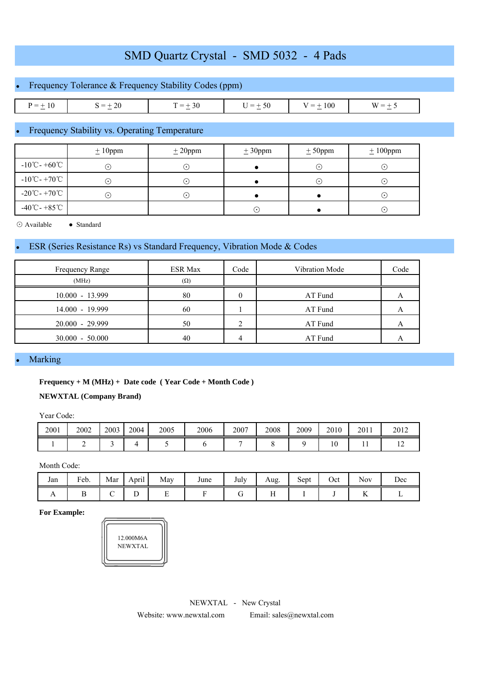# Frequency Tolerance & Frequency Stability Codes (ppm)

| $P = +$<br>1 U<br>$\sim$ | -20<br>$= +$<br>$\overline{\phantom{a}}$ | ` = +<br>.3U | $= +$<br>יור<br>◡<br>$\sim$ | 100<br>$\overline{\phantom{a}}$<br>$\sim$ | $W =$<br>$\sim$ |
|--------------------------|------------------------------------------|--------------|-----------------------------|-------------------------------------------|-----------------|

### Frequency Stability vs. Operating Temperature

|                                             | $± 10$ ppm | ± 20 ppm    | ± 30 ppm                   | $± 50$ ppm | $± 100$ ppm |
|---------------------------------------------|------------|-------------|----------------------------|------------|-------------|
| $-10^{\circ}$ C - +60 $^{\circ}$ C          | $\cdot$    | $\cdot$ )   |                            | $\odot$    | (∙`         |
| $-10^{\circ}$ C - +70 $^{\circ}$ C          | (•)        | ۰.)         |                            | C          | ⊙           |
| $-20^{\circ}\text{C} - +70^{\circ}\text{C}$ | ( • )      | $\bullet$ 1 |                            |            | ⊙           |
| $-40^{\circ}$ C - +85 $^{\circ}$ C          |            |             | $(\,\boldsymbol{\cdot}\,]$ |            | $\odot$     |

⊙ Available ● Standard

### ESR (Series Resistance Rs) vs Standard Frequency, Vibration Mode & Codes

| Frequency Range   | ESR Max    | Code | Vibration Mode | Code |
|-------------------|------------|------|----------------|------|
| (MHz)             | $(\Omega)$ |      |                |      |
| $10.000 - 13.999$ | 80         |      | AT Fund        |      |
| $14.000 - 19.999$ | 60         |      | AT Fund        |      |
| $20.000 - 29.999$ | 50         |      | AT Fund        |      |
| $30.000 - 50.000$ | 40         |      | AT Fund        |      |

#### **Marking**

#### **Frequency + M (MHz) + Date code ( Year Code + Month Code )**

#### **NEWXTAL (Company Brand)**

Year Code:

| 2001 | 2002 | 2003 | 2004 | 2005 | 2006 | 2007 | 2008 | 2009 | 2010 | 2011 | 2012 |
|------|------|------|------|------|------|------|------|------|------|------|------|
|      | -    |      |      |      |      |      |      |      | 10   | . .  |      |

Month Code:

| Jan            | Feb. | Mar | $\cdot$ .<br>April | May | June | $\mathbf{r}$ 1<br>July | Aug.         | $\sim$<br>Sept | Oct | <b>Nov</b>           | Dec |
|----------------|------|-----|--------------------|-----|------|------------------------|--------------|----------------|-----|----------------------|-----|
| $\overline{1}$ |      |     | ໋                  | -   |      | ີ                      | $\mathbf{H}$ |                |     | --<br>$\overline{1}$ |     |

#### **For Example:**

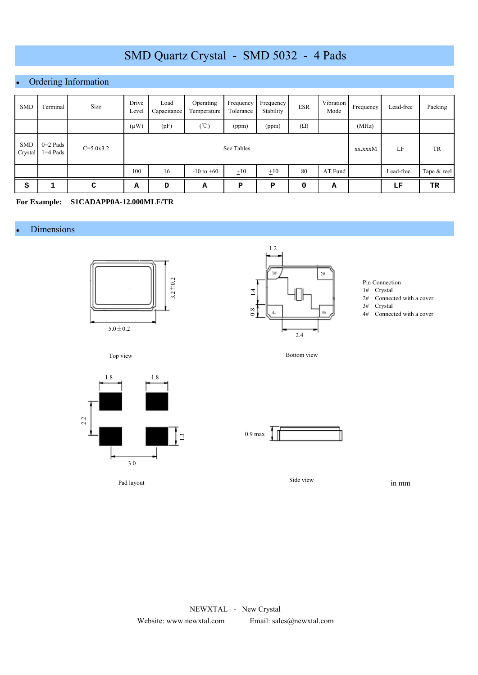### Ordering Information

| <b>SMD</b>            | Terminal                 | Size          | Drive<br>Level | Load<br>Capacitance | Operating<br>Temperature | Frequency<br>Tolerance | Frequency<br>Stability | <b>ESR</b> | Vibration<br>Mode | Frequency | Lead-free | Packing     |
|-----------------------|--------------------------|---------------|----------------|---------------------|--------------------------|------------------------|------------------------|------------|-------------------|-----------|-----------|-------------|
|                       |                          |               | $(\mu W)$      | (pF)                | (°C)                     | (ppm)                  | (ppm)                  | $(\Omega)$ |                   | (MHz)     |           |             |
| <b>SMD</b><br>Crystal | $0=2$ Pads<br>$1=4$ Pads | $C = 5.0x3.2$ |                | See Tables          |                          |                        |                        |            |                   |           | LF        | <b>TR</b>   |
|                       |                          |               | 100            | 16                  | $-10$ to $+60$           | $\pm 10$               | $\pm 10$               | 80         | AT Fund           |           | Lead-free | Tape & reel |
| S                     |                          | C             | А              | D                   | А                        | Р                      | P                      | 0          | А                 |           | LF        | TR          |

**For Example: S1CADAPP0A-12.000MLF/TR**

#### Dimensions





Bottom view

Pin Connection

- 1# Crystal
- 2# Connected with a cover
- 3# Crystal
- 4# Connected with a cover





Pad layout



Side view

in mm